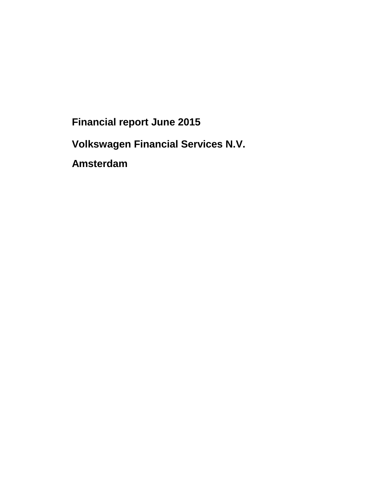**Financial report June 2015** 

**Volkswagen Financial Services N.V.** 

**Amsterdam**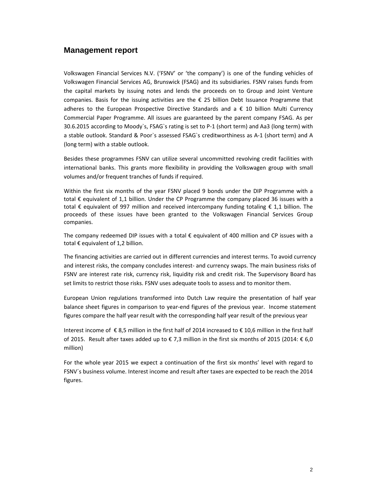### **Management report**

Volkswagen Financial Services N.V. ('FSNV' or 'the company') is one of the funding vehicles of Volkswagen Financial Services AG, Brunswick (FSAG) and its subsidiaries. FSNV raises funds from the capital markets by issuing notes and lends the proceeds on to Group and Joint Venture companies. Basis for the issuing activities are the  $\epsilon$  25 billion Debt Issuance Programme that adheres to the European Prospective Directive Standards and a  $\epsilon$  10 billion Multi Currency Commercial Paper Programme. All issues are guaranteed by the parent company FSAG. As per 30.6.2015 according to Moody`s, FSAG`s rating is set to P-1 (short term) and Aa3 (long term) with a stable outlook. Standard & Poor`s assessed FSAG`s creditworthiness as A-1 (short term) and A (long term) with a stable outlook.

Besides these programmes FSNV can utilize several uncommitted revolving credit facilities with international banks. This grants more flexibility in providing the Volkswagen group with small volumes and/or frequent tranches of funds if required.

Within the first six months of the year FSNV placed 9 bonds under the DIP Programme with a total € equivalent of 1,1 billion. Under the CP Programme the company placed 36 issues with a total  $\epsilon$  equivalent of 997 million and received intercompany funding totaling  $\epsilon$  1,1 billion. The proceeds of these issues have been granted to the Volkswagen Financial Services Group companies.

The company redeemed DIP issues with a total  $\epsilon$  equivalent of 400 million and CP issues with a total € equivalent of 1,2 billion.

The financing activities are carried out in different currencies and interest terms. To avoid currency and interest risks, the company concludes interest- and currency swaps. The main business risks of FSNV are interest rate risk, currency risk, liquidity risk and credit risk. The Supervisory Board has set limits to restrict those risks. FSNV uses adequate tools to assess and to monitor them.

European Union regulations transformed into Dutch Law require the presentation of half year balance sheet figures in comparison to year-end figures of the previous year. Income statement figures compare the half year result with the corresponding half year result of the previous year

Interest income of € 8,5 million in the first half of 2014 increased to € 10,6 million in the first half of 2015. Result after taxes added up to €7,3 million in the first six months of 2015 (2014: €6,0 million)

For the whole year 2015 we expect a continuation of the first six months' level with regard to FSNV´s business volume. Interest income and result after taxes are expected to be reach the 2014 figures.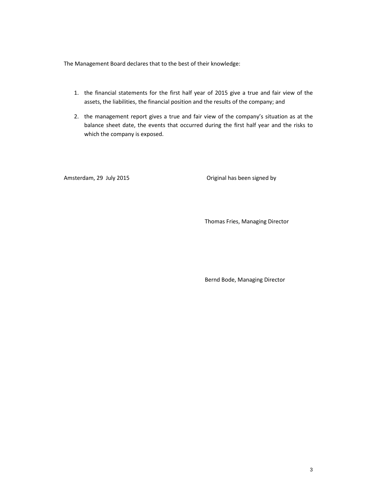The Management Board declares that to the best of their knowledge:

- 1. the financial statements for the first half year of 2015 give a true and fair view of the assets, the liabilities, the financial position and the results of the company; and
- 2. the management report gives a true and fair view of the company's situation as at the balance sheet date, the events that occurred during the first half year and the risks to which the company is exposed.

Amsterdam, 29 July 2015 **Amsterdam**, 29 July 2015

Thomas Fries, Managing Director

Bernd Bode, Managing Director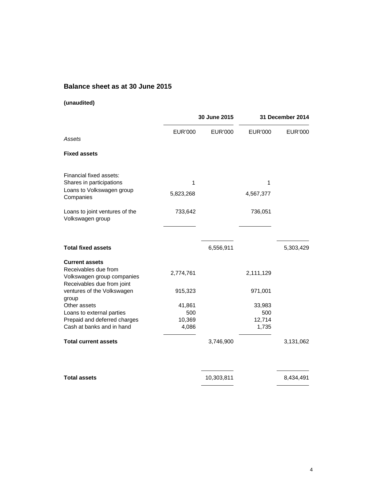# **Balance sheet as at 30 June 2015**

### **(unaudited)**

|                                                                                                           | 30 June 2015   |                | 31 December 2014 |                |
|-----------------------------------------------------------------------------------------------------------|----------------|----------------|------------------|----------------|
| Assets                                                                                                    | <b>EUR'000</b> | <b>EUR'000</b> | <b>EUR'000</b>   | <b>EUR'000</b> |
| <b>Fixed assets</b>                                                                                       |                |                |                  |                |
| Financial fixed assets:<br>Shares in participations                                                       | 1              |                | 1                |                |
| Loans to Volkswagen group<br>Companies                                                                    | 5,823,268      |                | 4,567,377        |                |
| Loans to joint ventures of the<br>Volkswagen group                                                        | 733,642        |                | 736,051          |                |
| <b>Total fixed assets</b>                                                                                 |                | 6,556,911      |                  | 5,303,429      |
| <b>Current assets</b><br>Receivables due from<br>Volkswagen group companies<br>Receivables due from joint | 2,774,761      |                | 2,111,129        |                |
| ventures of the Volkswagen<br>group                                                                       | 915,323        |                | 971,001          |                |
| Other assets                                                                                              | 41,861         |                | 33,983           |                |
| Loans to external parties                                                                                 | 500            |                | 500              |                |
| Prepaid and deferred charges                                                                              | 10,369         |                | 12,714           |                |
| Cash at banks and in hand                                                                                 | 4,086          |                | 1,735            |                |
| <b>Total current assets</b>                                                                               |                | 3,746,900      |                  | 3,131,062      |
| <b>Total assets</b>                                                                                       |                | 10,303,811     |                  | 8,434,491      |

L,

 $\overline{\phantom{a}}$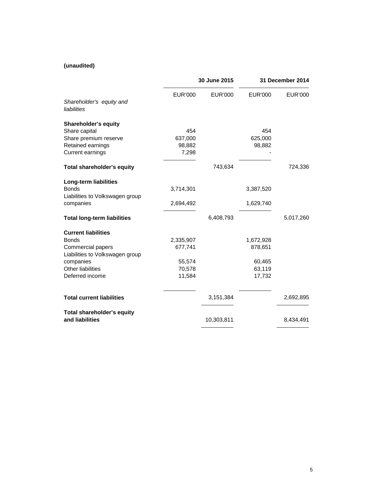### **(unaudited)**

|                                         | 30 June 2015   |            | 31 December 2014 |           |
|-----------------------------------------|----------------|------------|------------------|-----------|
| Shareholder's equity and<br>liabilities | <b>EUR'000</b> | EUR'000    | EUR'000          | EUR'000   |
| <b>Shareholder's equity</b>             |                |            |                  |           |
| Share capital                           | 454            |            | 454              |           |
| Share premium reserve                   | 637,000        |            | 625,000          |           |
| Retained earnings                       | 98,882         |            | 98,882           |           |
| <b>Current earnings</b>                 | 7,298          |            |                  |           |
| Total shareholder's equity              |                | 743,634    |                  | 724,336   |
| <b>Long-term liabilities</b>            |                |            |                  |           |
| <b>Bonds</b>                            | 3,714,301      |            | 3,387,520        |           |
| Liabilities to Volkswagen group         |                |            |                  |           |
| companies                               | 2,694,492      |            | 1,629,740        |           |
| <b>Total long-term liabilities</b>      |                | 6,408,793  |                  | 5,017,260 |
| <b>Current liabilities</b>              |                |            |                  |           |
| <b>Bonds</b>                            | 2,335,907      |            | 1,672,928        |           |
| Commercial papers                       | 677,741        |            | 878,651          |           |
| Liabilities to Volkswagen group         |                |            |                  |           |
| companies                               | 55,574         |            | 60,465           |           |
| <b>Other liabilities</b>                | 70,578         |            | 63,119           |           |
| Deferred income                         | 11,584         |            | 17,732           |           |
| <b>Total current liabilities</b>        |                | 3,151,384  |                  | 2,692,895 |
| Total shareholder's equity              |                |            |                  |           |
| and liabilities                         |                | 10,303,811 |                  | 8,434,491 |